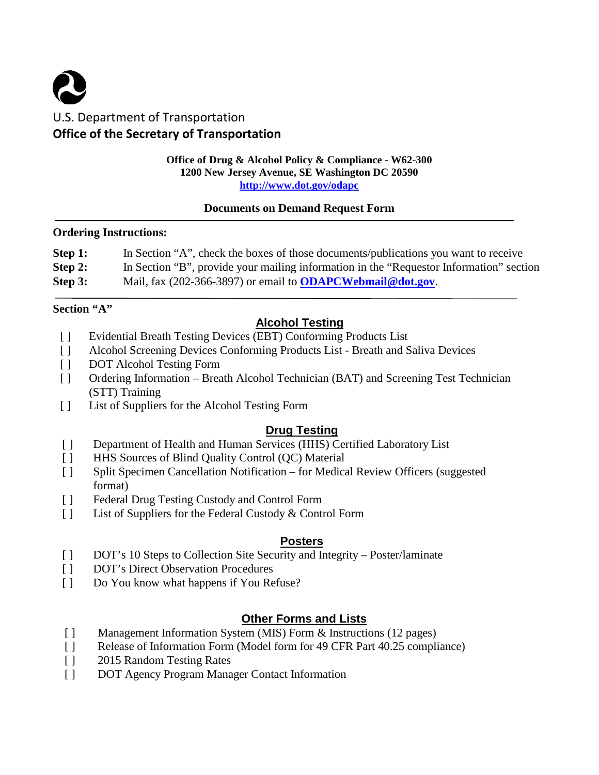# U.S. Department of Transportation **Office of the Secretary of Transportation**

#### **Office of Drug & Alcohol Policy & Compliance - W62-300 1200 New Jersey Avenue, SE Washington DC 20590 <http://www.dot.gov/odapc>**

#### **Documents on Demand Request Form**

#### **Ordering Instructions:**

| Step 1: | In Section "A", check the boxes of those documents/publications you want to receive     |
|---------|-----------------------------------------------------------------------------------------|
| Step 2: | In Section "B", provide your mailing information in the "Requestor Information" section |
| Step 3: | Mail, fax $(202-366-3897)$ or email to <b>ODAPCWebmail@dot.gov</b>                      |

## **Section "A"**

# **Alcohol Testing**

- [ ] Evidential Breath Testing Devices (EBT) Conforming Products List
- [ ] Alcohol Screening Devices Conforming Products List Breath and Saliva Devices
- [ ] DOT Alcohol Testing Form
- [ ] Ordering Information Breath Alcohol Technician (BAT) and Screening Test Technician (STT) Training
- [ ] List of Suppliers for the Alcohol Testing Form

# **Drug Testing**

- [ ] Department of Health and Human Services (HHS) Certified Laboratory List
- [ ] HHS Sources of Blind Quality Control (OC) Material
- [ ] Split Specimen Cancellation Notification for Medical Review Officers (suggested format)
- [ ] Federal Drug Testing Custody and Control Form
- [ ] List of Suppliers for the Federal Custody & Control Form

## **Posters**

- [ ] DOT's 10 Steps to Collection Site Security and Integrity Poster/laminate
- [ ] DOT's Direct Observation Procedures
- [ ] Do You know what happens if You Refuse?

# **Other Forms and Lists**

- [ ] Management Information System (MIS) Form & Instructions (12 pages)
- [ ] Release of Information Form (Model form for 49 CFR Part 40.25 compliance)
- [ ] 2015 Random Testing Rates
- [ ] DOT Agency Program Manager Contact Information